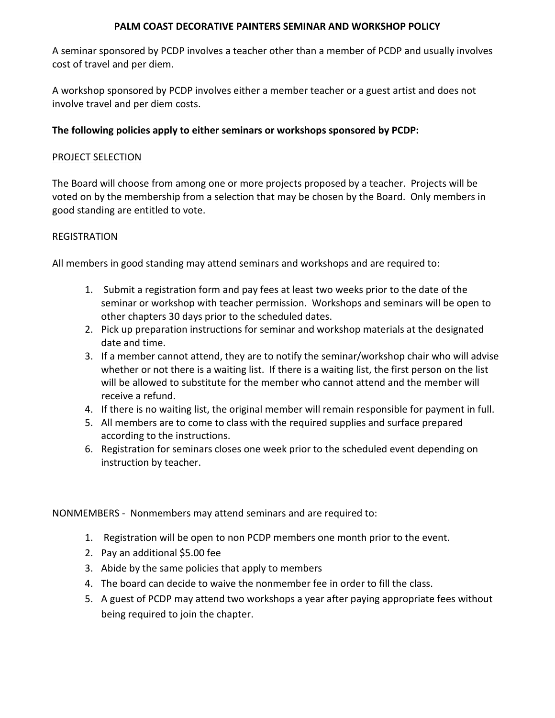## **PALM COAST DECORATIVE PAINTERS SEMINAR AND WORKSHOP POLICY**

A seminar sponsored by PCDP involves a teacher other than a member of PCDP and usually involves cost of travel and per diem.

A workshop sponsored by PCDP involves either a member teacher or a guest artist and does not involve travel and per diem costs.

# **The following policies apply to either seminars or workshops sponsored by PCDP:**

# PROJECT SELECTION

The Board will choose from among one or more projects proposed by a teacher. Projects will be voted on by the membership from a selection that may be chosen by the Board. Only members in good standing are entitled to vote.

## **REGISTRATION**

All members in good standing may attend seminars and workshops and are required to:

- 1. Submit a registration form and pay fees at least two weeks prior to the date of the seminar or workshop with teacher permission. Workshops and seminars will be open to other chapters 30 days prior to the scheduled dates.
- 2. Pick up preparation instructions for seminar and workshop materials at the designated date and time.
- 3. If a member cannot attend, they are to notify the seminar/workshop chair who will advise whether or not there is a waiting list. If there is a waiting list, the first person on the list will be allowed to substitute for the member who cannot attend and the member will receive a refund.
- 4. If there is no waiting list, the original member will remain responsible for payment in full.
- 5. All members are to come to class with the required supplies and surface prepared according to the instructions.
- 6. Registration for seminars closes one week prior to the scheduled event depending on instruction by teacher.

NONMEMBERS - Nonmembers may attend seminars and are required to:

- 1. Registration will be open to non PCDP members one month prior to the event.
- 2. Pay an additional \$5.00 fee
- 3. Abide by the same policies that apply to members
- 4. The board can decide to waive the nonmember fee in order to fill the class.
- 5. A guest of PCDP may attend two workshops a year after paying appropriate fees without being required to join the chapter.